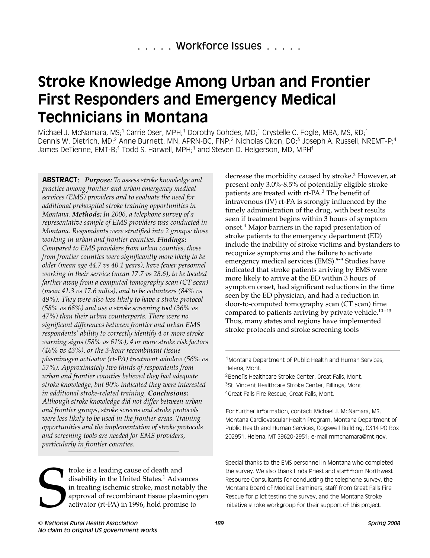# **Stroke Knowledge Among Urban and Frontier First Responders and Emergency Medical Technicians in Montana**

Michael J. McNamara, MS;<sup>1</sup> Carrie Oser, MPH;<sup>1</sup> Dorothy Gohdes, MD;<sup>1</sup> Crystelle C. Fogle, MBA, MS, RD;<sup>1</sup> Dennis W. Dietrich, MD;<sup>2</sup> Anne Burnett, MN, APRN-BC, FNP;<sup>2</sup> Nicholas Okon, DO;<sup>3</sup> Joseph A. Russell, NREMT-P;<sup>4</sup> James DeTienne, EMT-B;<sup>1</sup> Todd S. Harwell, MPH;<sup>1</sup> and Steven D. Helgerson, MD, MPH<sup>1</sup>

**ABSTRACT:** *Purpose: To assess stroke knowledge and practice among frontier and urban emergency medical services (EMS) providers and to evaluate the need for additional prehospital stroke training opportunities in Montana. Methods: In 2006, a telephone survey of a representative sample of EMS providers was conducted in Montana. Respondents were stratified into 2 groups: those working in urban and frontier counties. Findings: Compared to EMS providers from urban counties, those from frontier counties were significantly more likely to be older (mean age 44.7 vs 40.1 years), have fewer personnel working in their service (mean 17.7 vs 28.6), to be located farther away from a computed tomography scan (CT scan) (mean 41.3 vs 17.6 miles), and to be volunteers (84% vs 49%). They were also less likely to have a stroke protocol (58% vs 66%) and use a stroke screening tool (36% vs 47%) than their urban counterparts. There were no significant differences between frontier and urban EMS respondents' ability to correctly identify 4 or more stroke warning signs (58% vs 61%), 4 or more stroke risk factors (46% vs 43%), or the 3-hour recombinant tissue plasminogen activator (rt-PA) treatment window (56% vs 57%). Approximately two thirds of respondents from urban and frontier counties believed they had adequate stroke knowledge, but 90% indicated they were interested in additional stroke-related training. Conclusions: Although stroke knowledge did not differ between urban and frontier groups, stroke screens and stroke protocols were less likely to be used in the frontier areas. Training opportunities and the implementation of stroke protocols and screening tools are needed for EMS providers, particularly in frontier counties*.

S troke is a leading cause of death and disability in the United States.<sup>1</sup> Advances in treating ischemic stroke, most notably the approval of recombinant tissue plasminogen activator (rt-PA) in 1996, hold promise to

decrease the morbidity caused by stroke.<sup>2</sup> However, at present only 3.0%-8.5% of potentially eligible stroke patients are treated with rt-PA.<sup>3</sup> The benefit of intravenous (IV) rt-PA is strongly influenced by the timely administration of the drug, with best results seen if treatment begins within 3 hours of symptom onset.<sup>4</sup> Major barriers in the rapid presentation of stroke patients to the emergency department (ED) include the inability of stroke victims and bystanders to recognize symptoms and the failure to activate emergency medical services (EMS).<sup>5-9</sup> Studies have indicated that stroke patients arriving by EMS were more likely to arrive at the ED within 3 hours of symptom onset, had significant reductions in the time seen by the ED physician, and had a reduction in door-to-computed tomography scan (CT scan) time compared to patients arriving by private vehicle.<sup>10−13</sup> Thus, many states and regions have implemented stroke protocols and stroke screening tools

<sup>1</sup> Montana Department of Public Health and Human Services, Helena, Mont.

2Benefis Healthcare Stroke Center, Great Falls, Mont. <sup>3</sup>St. Vincent Healthcare Stroke Center, Billings, Mont. 4Great Falls Fire Rescue, Great Falls, Mont.

For further information, contact: Michael J. McNamara, MS, Montana Cardiovascular Health Program, Montana Department of Public Health and Human Services, Cogswell Building, C314 PO Box 202951, Helena, MT 59620-2951; e-mail mmcnamara@mt.gov.

Special thanks to the EMS personnel in Montana who completed the survey. We also thank Linda Priest and staff from Northwest Resource Consultants for conducting the telephone survey, the Montana Board of Medical Examiners, staff from Great Falls Fire Rescue for pilot testing the survey, and the Montana Stroke Initiative stroke workgroup for their support of this project.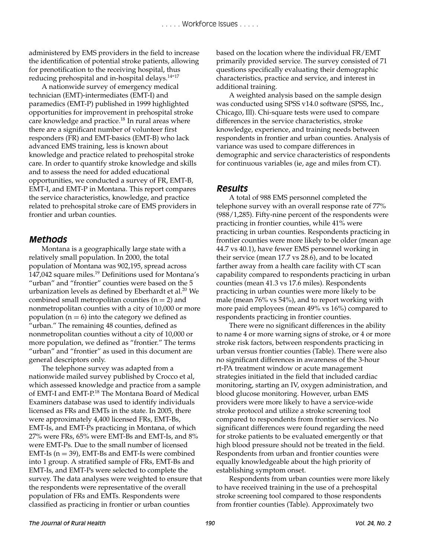administered by EMS providers in the field to increase the identification of potential stroke patients, allowing for prenotification to the receiving hospital, thus reducing prehospital and in-hospital delays.<sup>14-17</sup>

A nationwide survey of emergency medical technician (EMT)-intermediates (EMT-I) and paramedics (EMT-P) published in 1999 highlighted opportunities for improvement in prehospital stroke care knowledge and practice.<sup>18</sup> In rural areas where there are a significant number of volunteer first responders (FR) and EMT-basics (EMT-B) who lack advanced EMS training, less is known about knowledge and practice related to prehospital stroke care. In order to quantify stroke knowledge and skills and to assess the need for added educational opportunities, we conducted a survey of FR, EMT-B, EMT-I, and EMT-P in Montana. This report compares the service characteristics, knowledge, and practice related to prehospital stroke care of EMS providers in frontier and urban counties.

# **Methods**

Montana is a geographically large state with a relatively small population. In 2000, the total population of Montana was 902,195, spread across 147,042 square miles.<sup>19</sup> Definitions used for Montana's "urban" and "frontier" counties were based on the 5 urbanization levels as defined by Eberhardt et al.<sup>20</sup> We combined small metropolitan counties  $(n = 2)$  and nonmetropolitan counties with a city of 10,000 or more population ( $n = 6$ ) into the category we defined as "urban." The remaining 48 counties, defined as nonmetropolitan counties without a city of 10,000 or more population, we defined as "frontier." The terms "urban" and "frontier" as used in this document are general descriptors only.

The telephone survey was adapted from a nationwide mailed survey published by Crocco et al, which assessed knowledge and practice from a sample of EMT-I and EMT-P.<sup>18</sup> The Montana Board of Medical Examiners database was used to identify individuals licensed as FRs and EMTs in the state. In 2005, there were approximately 4,400 licensed FRs, EMT-Bs, EMT-Is, and EMT-Ps practicing in Montana, of which 27% were FRs, 65% were EMT-Bs and EMT-Is, and 8% were EMT-Ps. Due to the small number of licensed EMT-Is  $(n = 39)$ , EMT-Bs and EMT-Is were combined into 1 group. A stratified sample of FRs, EMT-Bs and EMT-Is, and EMT-Ps were selected to complete the survey. The data analyses were weighted to ensure that the respondents were representative of the overall population of FRs and EMTs. Respondents were classified as practicing in frontier or urban counties

based on the location where the individual FR/EMT primarily provided service. The survey consisted of 71 questions specifically evaluating their demographic characteristics, practice and service, and interest in additional training.

A weighted analysis based on the sample design was conducted using SPSS v14.0 software (SPSS, Inc., Chicago, Ill). Chi-square tests were used to compare differences in the service characteristics, stroke knowledge, experience, and training needs between respondents in frontier and urban counties. Analysis of variance was used to compare differences in demographic and service characteristics of respondents for continuous variables (ie, age and miles from CT).

# **Results**

A total of 988 EMS personnel completed the telephone survey with an overall response rate of 77% (988/1,285). Fifty-nine percent of the respondents were practicing in frontier counties, while 41% were practicing in urban counties. Respondents practicing in frontier counties were more likely to be older (mean age 44.7 vs 40.1), have fewer EMS personnel working in their service (mean 17.7 vs 28.6), and to be located farther away from a health care facility with CT scan capability compared to respondents practicing in urban counties (mean 41.3 vs 17.6 miles). Respondents practicing in urban counties were more likely to be male (mean 76% vs 54%), and to report working with more paid employees (mean 49% vs 16%) compared to respondents practicing in frontier counties.

There were no significant differences in the ability to name 4 or more warning signs of stroke, or 4 or more stroke risk factors, between respondents practicing in urban versus frontier counties (Table). There were also no significant differences in awareness of the 3-hour rt-PA treatment window or acute management strategies initiated in the field that included cardiac monitoring, starting an IV, oxygen administration, and blood glucose monitoring. However, urban EMS providers were more likely to have a service-wide stroke protocol and utilize a stroke screening tool compared to respondents from frontier services. No significant differences were found regarding the need for stroke patients to be evaluated emergently or that high blood pressure should not be treated in the field. Respondents from urban and frontier counties were equally knowledgeable about the high priority of establishing symptom onset.

Respondents from urban counties were more likely to have received training in the use of a prehospital stroke screening tool compared to those respondents from frontier counties (Table). Approximately two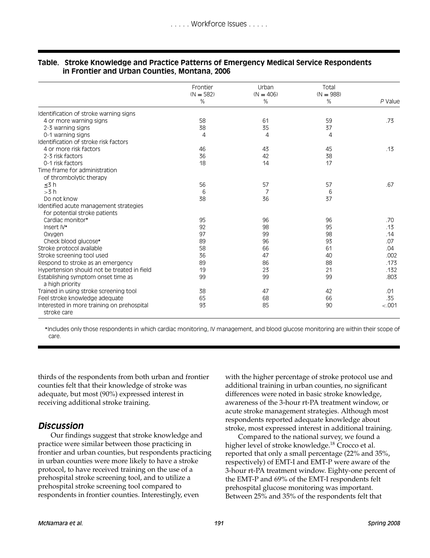|                                             | Frontier<br>$(N = 582)$<br>$\%$ | Urban<br>$(N = 406)$<br>% | Total<br>$(N = 988)$<br>$\%$ | P Value |
|---------------------------------------------|---------------------------------|---------------------------|------------------------------|---------|
|                                             |                                 |                           |                              |         |
|                                             |                                 |                           |                              |         |
| Identification of stroke warning signs      |                                 |                           |                              |         |
| 4 or more warning signs                     | 58                              | 61                        | 59                           | .73     |
| 2-3 warning signs                           | 38                              | 35                        | 37                           |         |
| 0-1 warning signs                           | 4                               | 4                         | 4                            |         |
| Identification of stroke risk factors       |                                 |                           |                              |         |
| 4 or more risk factors                      | 46                              | 43                        | 45                           | .13     |
| 2-3 risk factors                            | 36                              | 42                        | 38                           |         |
| 0-1 risk factors                            | 18                              | 14                        | 17                           |         |
| Time frame for administration               |                                 |                           |                              |         |
| of thrombolytic therapy                     |                                 |                           |                              |         |
| $\leq 3 h$                                  | 56                              | 57                        | 57                           | .67     |
| >3 h                                        | 6                               | 7                         | 6                            |         |
| Do not know                                 | 38                              | 36                        | 37                           |         |
| Identified acute management strategies      |                                 |                           |                              |         |
| for potential stroke patients               |                                 |                           |                              |         |
| Cardiac monitor*                            | 95                              | 96                        | 96                           | .70     |
| Insert IV*                                  | 92                              | 98                        | 95                           | .13     |
| Oxygen                                      | 97                              | 99                        | 98                           | .14     |
| Check blood glucose*                        | 89                              | 96                        | 93                           | .07     |
| Stroke protocol available                   | 58                              | 66                        | 61                           | .04     |
| Stroke screening tool used                  | 36                              | 47                        | 40                           | .002    |
| Respond to stroke as an emergency           | 89                              | 86                        | 88                           | .173    |
| Hypertension should not be treated in field | 19                              | 23                        | 21                           | .132    |
| Establishing symptom onset time as          | 99                              | 99                        | 99                           | .803    |
| a high priority                             |                                 |                           |                              |         |
| Trained in using stroke screening tool      | 38                              | 47                        | 42                           | .01     |
| Feel stroke knowledge adequate              | 65                              | 68                        | 66                           | .35     |
| Interested in more training on prehospital  | 93                              | 85                        | 90                           | $-.001$ |
| stroke care                                 |                                 |                           |                              |         |

#### **Table. Stroke Knowledge and Practice Patterns of Emergency Medical Service Respondents in Frontier and Urban Counties, Montana, 2006**

**∗**Includes only those respondents in which cardiac monitoring, IV management, and blood glucose monitoring are within their scope of care.

thirds of the respondents from both urban and frontier counties felt that their knowledge of stroke was adequate, but most (90%) expressed interest in receiving additional stroke training.

# **Discussion**

Our findings suggest that stroke knowledge and practice were similar between those practicing in frontier and urban counties, but respondents practicing in urban counties were more likely to have a stroke protocol, to have received training on the use of a prehospital stroke screening tool, and to utilize a prehospital stroke screening tool compared to respondents in frontier counties. Interestingly, even

with the higher percentage of stroke protocol use and additional training in urban counties, no significant differences were noted in basic stroke knowledge, awareness of the 3-hour rt-PA treatment window, or acute stroke management strategies. Although most respondents reported adequate knowledge about stroke, most expressed interest in additional training.

Compared to the national survey, we found a higher level of stroke knowledge.<sup>18</sup> Crocco et al. reported that only a small percentage (22% and 35%, respectively) of EMT-I and EMT-P were aware of the 3-hour rt-PA treatment window. Eighty-one percent of the EMT-P and 69% of the EMT-I respondents felt prehospital glucose monitoring was important. Between 25% and 35% of the respondents felt that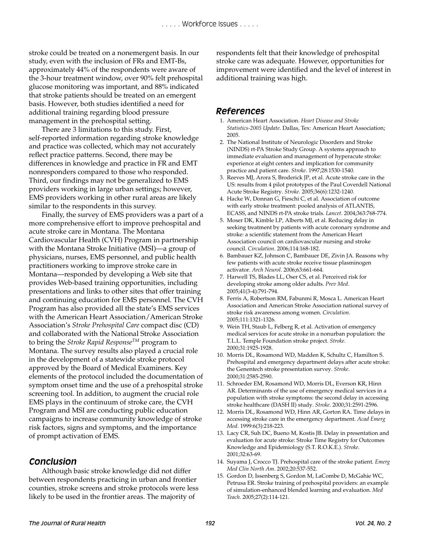stroke could be treated on a nonemergent basis. In our study, even with the inclusion of FRs and EMT-Bs, approximately 44% of the respondents were aware of the 3-hour treatment window, over 90% felt prehospital glucose monitoring was important, and 88% indicated that stroke patients should be treated on an emergent basis. However, both studies identified a need for additional training regarding blood pressure management in the prehospital setting.

There are 3 limitations to this study. First, self-reported information regarding stroke knowledge and practice was collected, which may not accurately reflect practice patterns. Second, there may be differences in knowledge and practice in FR and EMT nonresponders compared to those who responded. Third, our findings may not be generalized to EMS providers working in large urban settings; however, EMS providers working in other rural areas are likely similar to the respondents in this survey.

Finally, the survey of EMS providers was a part of a more comprehensive effort to improve prehospital and acute stroke care in Montana. The Montana Cardiovascular Health (CVH) Program in partnership with the Montana Stroke Initiative (MSI)—a group of physicians, nurses, EMS personnel, and public health practitioners working to improve stroke care in Montana—responded by developing a Web site that provides Web-based training opportunities, including presentations and links to other sites that offer training and continuing education for EMS personnel. The CVH Program has also provided all the state's EMS services with the American Heart Association/American Stroke Association's *Stroke Prehospital Care* compact disc (CD) and collaborated with the National Stroke Association to bring the *Stroke Rapid ResponseTM* program to Montana. The survey results also played a crucial role in the development of a statewide stroke protocol approved by the Board of Medical Examiners. Key elements of the protocol included the documentation of symptom onset time and the use of a prehospital stroke screening tool. In addition, to augment the crucial role EMS plays in the continuum of stroke care, the CVH Program and MSI are conducting public education campaigns to increase community knowledge of stroke risk factors, signs and symptoms, and the importance of prompt activation of EMS.

# **Conclusion**

Although basic stroke knowledge did not differ between respondents practicing in urban and frontier counties, stroke screens and stroke protocols were less likely to be used in the frontier areas. The majority of

respondents felt that their knowledge of prehospital stroke care was adequate. However, opportunities for improvement were identified and the level of interest in additional training was high.

### **References**

- 1. American Heart Association. *Heart Disease and Stroke Statistics-2005 Update*. Dallas, Tex: American Heart Association; 2005.
- 2. The National Institute of Neurologic Disorders and Stroke (NINDS) rt-PA Stroke Study Group. A systems approach to immediate evaluation and management of hyperacute stroke: experience at eight centers and implication for community practice and patient care. *Stroke*. 1997;28:1530-1540.
- 3. Reeves MJ, Arora S, Broderick JP, et al. Acute stroke care in the US: results from 4 pilot prototypes of the Paul Coverdell National Acute Stroke Registry. *Stroke*. 2005;36(6):1232-1240.
- 4. Hacke W, Donnan G, Fieschi C, et al. Association of outcome with early stroke treatment: pooled analysis of ATLANTIS, ECASS, and NINDS rt-PA stroke trials. *Lancet*. 2004;363:768-774.
- 5. Moser DK, Kimble LP, Alberts MJ, et al. Reducing delay in seeking treatment by patients with acute coronary syndrome and stroke: a scientific statement from the American Heart Association council on cardiovascular nursing and stroke council. *Circulation*. 2006;114:168-182.
- 6. Bambauer KZ, Johnson C, Bambauer DE, Zivin JA. Reasons why few patients with acute stroke receive tissue plasminogen activator. *Arch Neurol*. 2006;63:661-664.
- 7. Harwell TS, Blades LL, Oser CS, et al. Perceived risk for developing stroke among older adults. *Prev Med*. 2005;41(3-4):791-794.
- 8. Ferris A, Robertson RM, Fabunmi R, Mosca L. American Heart Association and American Stroke Association national survey of stroke risk awareness among women. *Circulation*. 2005;111:1321-1326.
- 9. Wein TH, Staub L, Felberg R, et al. Activation of emergency medical services for acute stroke in a nonurban population: the T.L.L. Temple Foundation stroke project. *Stroke*. 2000;31:1925-1928.
- 10. Morris DL, Rosamond WD, Madden K, Schultz C, Hamilton S. Prehospital and emergency department delays after acute stroke: the Genentech stroke presentation survey. *Stroke*. 2000;31:2585-2590.
- 11. Schroeder EM, Rosamond WD, Morris DL, Everson KR, Hinn AR. Determinants of the use of emergency medical services in a population with stroke symptoms: the second delay in accessing stroke healthcare (DASH II) study. *Stroke*. 2000;31:2591-2596.
- 12. Morris DL, Rosamond WD, Hinn AR, Gorton RA. Time delays in accessing stroke care in the emergency department. *Acad Emerg Med*. 1999:6(3):218-223.
- 13. Lacy CR, Suh DC, Bueno M, Kostis JB. Delay in presentation and evaluation for acute stroke: Stroke Time Registry for Outcomes Knowledge and Epidemiology (S.T. R.O.K.E.). *Stroke*. 2001;32:63-69.
- 14. Suyama J, Crocco TJ. Prehospital care of the stroke patient. *Emerg Med Clin North Am*. 2002;20:537-552.
- 15. Gordon D, Issenberg S, Gordon M, LaCombe D, McGahie WC, Petrusa ER. Stroke training of prehospital providers: an example of simulation-enhanced blended learning and evaluation. *Med Teach*. 2005;27(2):114-121.